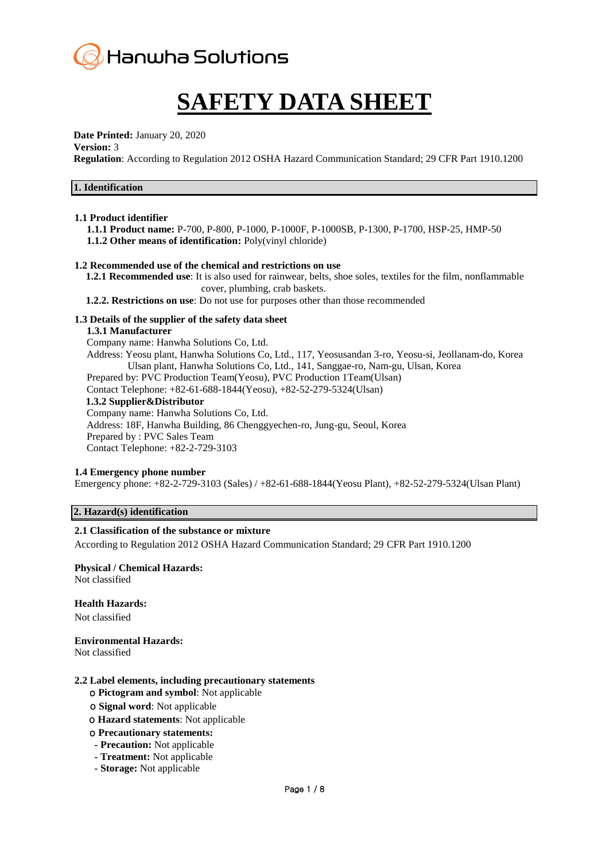

## **SAFETY DATA SHEET**

**Date Printed:** January 20, 2020

#### **Version:** 3

**Regulation**: According to Regulation 2012 OSHA Hazard Communication Standard; 29 CFR Part 1910.1200

| 1. Identification |
|-------------------|
|-------------------|

#### **1.1 Product identifier**

**1.1.1 Product name:** P-700, P-800, P-1000, P-1000F, P-1000SB, P-1300, P-1700, HSP-25, HMP-50 **1.1.2 Other means of identification:** Poly(vinyl chloride)

#### **1.2 Recommended use of the chemical and restrictions on use**

**1.2.1 Recommended use**: It is also used for rainwear, belts, shoe soles, textiles for the film, nonflammable cover, plumbing, crab baskets.

**1.2.2. Restrictions on use**: Do not use for purposes other than those recommended

#### **1.3 Details of the supplier of the safety data sheet**

#### **1.3.1 Manufacturer**

Company name: Hanwha Solutions Co, Ltd.

Address: Yeosu plant, Hanwha Solutions Co, Ltd., 117, Yeosusandan 3-ro, Yeosu-si, Jeollanam-do, Korea Ulsan plant, Hanwha Solutions Co, Ltd., 141, Sanggae-ro, Nam-gu, Ulsan, Korea Prepared by: PVC Production Team(Yeosu), PVC Production 1Team(Ulsan) Contact Telephone: +82-61-688-1844(Yeosu), +82-52-279-5324(Ulsan) **1.3.2 Supplier&Distributor** Company name: Hanwha Solutions Co, Ltd.

Address: 18F, Hanwha Building, 86 Chenggyechen-ro, Jung-gu, Seoul, Korea Prepared by : PVC Sales Team Contact Telephone: +82-2-729-3103

#### **1.4 Emergency phone number**

Emergency phone: +82-2-729-3103 (Sales) / +82-61-688-1844(Yeosu Plant), +82-52-279-5324(Ulsan Plant)

## **2. Hazard(s) identification**

## **2.1 Classification of the substance or mixture**

According to Regulation 2012 OSHA Hazard Communication Standard; 29 CFR Part 1910.1200

## **Physical / Chemical Hazards:**

Not classified

## **Health Hazards:**

Not classified

#### **Environmental Hazards:**

Not classified

#### **2.2 Label elements, including precautionary statements**

- ο **Pictogram and symbol**: Not applicable
- ο **Signal word**: Not applicable
- ο **Hazard statements**: Not applicable
- ο **Precautionary statements:**
- **- Precaution:** Not applicable
- **- Treatment:** Not applicable
- **- Storage:** Not applicable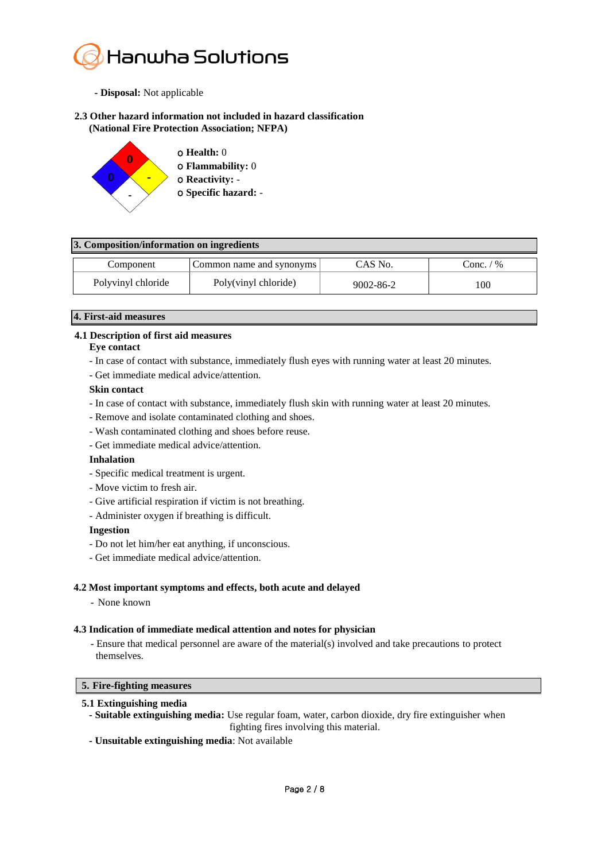

- **- Disposal:** Not applicable
- **2.3 Other hazard information not included in hazard classification (National Fire Protection Association; NFPA)**



## **3. Composition/information on ingredients**

| Component          | Common name and synonyms | $CAS$ No.       | Conc. / % |
|--------------------|--------------------------|-----------------|-----------|
| Polyvinyl chloride | Poly(vinyl chloride)     | $9002 - 86 - 2$ | 100       |

#### **4. First-aid measures**

## **4.1 Description of first aid measures**

#### **Eye contact**

- In case of contact with substance, immediately flush eyes with running water at least 20 minutes.
- Get immediate medical advice/attention.

#### **Skin contact**

- In case of contact with substance, immediately flush skin with running water at least 20 minutes.
- Remove and isolate contaminated clothing and shoes.
- Wash contaminated clothing and shoes before reuse.
- Get immediate medical advice/attention.

#### **Inhalation**

- Specific medical treatment is urgent.
- Move victim to fresh air.
- Give artificial respiration if victim is not breathing.
- Administer oxygen if breathing is difficult.

#### **Ingestion**

- Do not let him/her eat anything, if unconscious.
- Get immediate medical advice/attention.

## **4.2 Most important symptoms and effects, both acute and delayed**

- None known

#### **4.3 Indication of immediate medical attention and notes for physician**

- Ensure that medical personnel are aware of the material(s) involved and take precautions to protect themselves.

#### **5. Fire-fighting measures**

#### **5.1 Extinguishing media**

**- Suitable extinguishing media:** Use regular foam, water, carbon dioxide, dry fire extinguisher when fighting fires involving this material.

**- Unsuitable extinguishing media**: Not available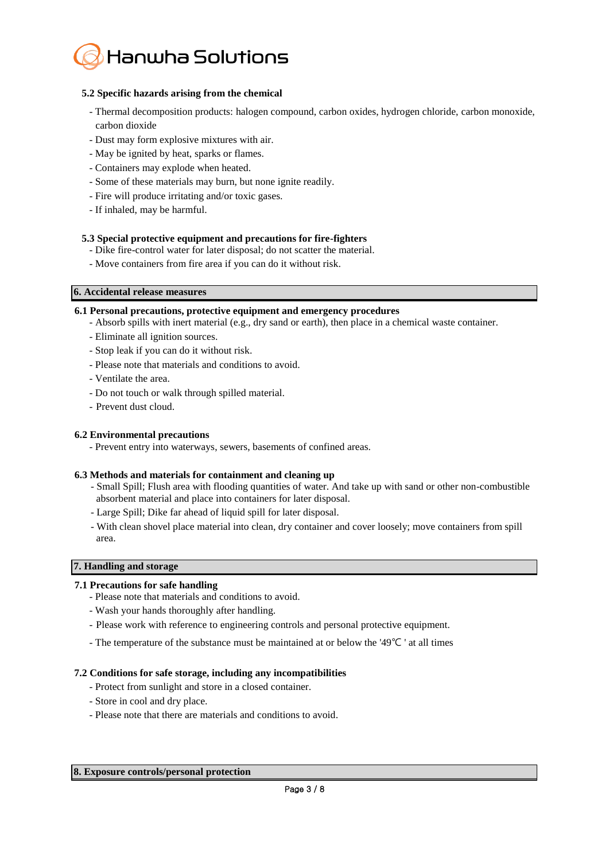

## **5.2 Specific hazards arising from the chemical**

- Thermal decomposition products: halogen compound, carbon oxides, hydrogen chloride, carbon monoxide, carbon dioxide
- Dust may form explosive mixtures with air.
- May be ignited by heat, sparks or flames.
- Containers may explode when heated.
- Some of these materials may burn, but none ignite readily.
- Fire will produce irritating and/or toxic gases.
- If inhaled, may be harmful.

## **5.3 Special protective equipment and precautions for fire-fighters**

- Dike fire-control water for later disposal; do not scatter the material.
- Move containers from fire area if you can do it without risk.

## **6. Accidental release measures**

## **6.1 Personal precautions, protective equipment and emergency procedures**

- Absorb spills with inert material (e.g., dry sand or earth), then place in a chemical waste container.
- Eliminate all ignition sources.
- Stop leak if you can do it without risk.
- Please note that materials and conditions to avoid.
- Ventilate the area.
- Do not touch or walk through spilled material.
- Prevent dust cloud.

## **6.2 Environmental precautions**

- Prevent entry into waterways, sewers, basements of confined areas.

## **6.3 Methods and materials for containment and cleaning up**

- Small Spill; Flush area with flooding quantities of water. And take up with sand or other non-combustible absorbent material and place into containers for later disposal.
- Large Spill; Dike far ahead of liquid spill for later disposal.
- With clean shovel place material into clean, dry container and cover loosely; move containers from spill area.

## **7. Handling and storage**

## **7.1 Precautions for safe handling**

- Please note that materials and conditions to avoid.
- Wash your hands thoroughly after handling.
- Please work with reference to engineering controls and personal protective equipment.
- The temperature of the substance must be maintained at or below the '49℃ ' at all times

## **7.2 Conditions for safe storage, including any incompatibilities**

- Protect from sunlight and store in a closed container.
- Store in cool and dry place.
- Please note that there are materials and conditions to avoid.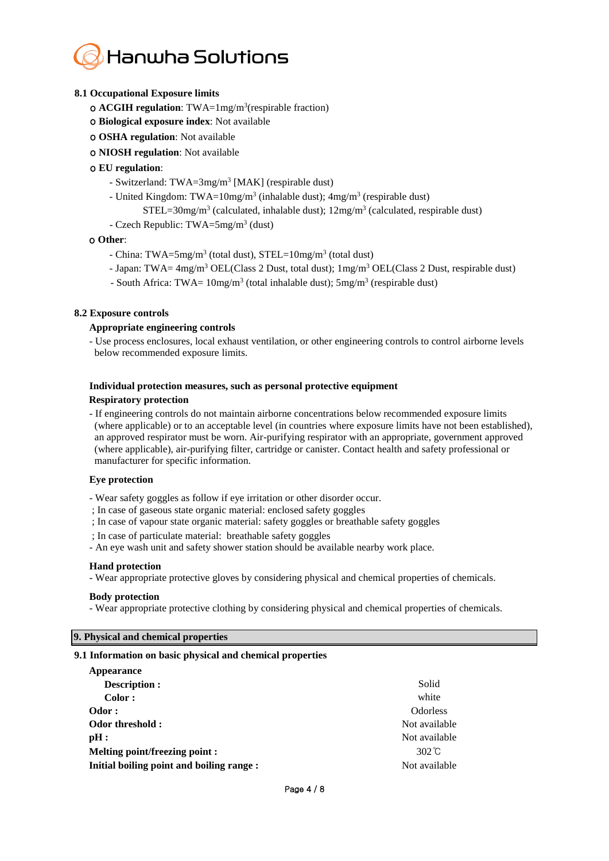## **Hanwha Solutions**

## **8.1 Occupational Exposure limits**

- ο **ACGIH regulation**: TWA=1mg/m<sup>3</sup> (respirable fraction)
- ο **Biological exposure index**: Not available
- ο **OSHA regulation**: Not available
- ο **NIOSH regulation**: Not available

## ο **EU regulation**:

- Switzerland: TWA=3mg/m<sup>3</sup> [MAK] (respirable dust)
- United Kingdom: TWA=10mg/m<sup>3</sup> (inhalable dust); 4mg/m<sup>3</sup> (respirable dust)
- $STEL = 30mg/m<sup>3</sup>$  (calculated, inhalable dust);  $12mg/m<sup>3</sup>$  (calculated, respirable dust)
- Czech Republic: TWA=5mg/m<sup>3</sup> (dust)

## ο **Other**:

- China: TWA=5mg/m<sup>3</sup> (total dust), STEL=10mg/m<sup>3</sup> (total dust)
- Japan: TWA=  $4mg/m^3$  OEL(Class 2 Dust, total dust);  $1mg/m^3$  OEL(Class 2 Dust, respirable dust)
- South Africa: TWA=  $10$ mg/m<sup>3</sup> (total inhalable dust);  $5$ mg/m<sup>3</sup> (respirable dust)

## **8.2 Exposure controls**

## **Appropriate engineering controls**

- Use process enclosures, local exhaust ventilation, or other engineering controls to control airborne levels below recommended exposure limits.

## **Individual protection measures, such as personal protective equipment**

## **Respiratory protection**

- If engineering controls do not maintain airborne concentrations below recommended exposure limits (where applicable) or to an acceptable level (in countries where exposure limits have not been established), an approved respirator must be worn. Air-purifying respirator with an appropriate, government approved (where applicable), air-purifying filter, cartridge or canister. Contact health and safety professional or manufacturer for specific information.

## **Eye protection**

- Wear safety goggles as follow if eye irritation or other disorder occur.
- ; In case of gaseous state organic material: enclosed safety goggles
- ; In case of vapour state organic material: safety goggles or breathable safety goggles
- ; In case of particulate material: breathable safety goggles
- An eye wash unit and safety shower station should be available nearby work place.

## **Hand protection**

- Wear appropriate protective gloves by considering physical and chemical properties of chemicals.

## **Body protection**

- Wear appropriate protective clothing by considering physical and chemical properties of chemicals.

## **9. Physical and chemical properties**

## **9.1 Information on basic physical and chemical properties**

| Appearance                                |                 |
|-------------------------------------------|-----------------|
| <b>Description:</b>                       | Solid           |
| Color:                                    | white           |
| Odor:                                     | <b>Odorless</b> |
| Odor threshold:                           | Not available   |
| pH:                                       | Not available   |
| Melting point/freezing point :            | $302^{\circ}$ C |
| Initial boiling point and boiling range : | Not available   |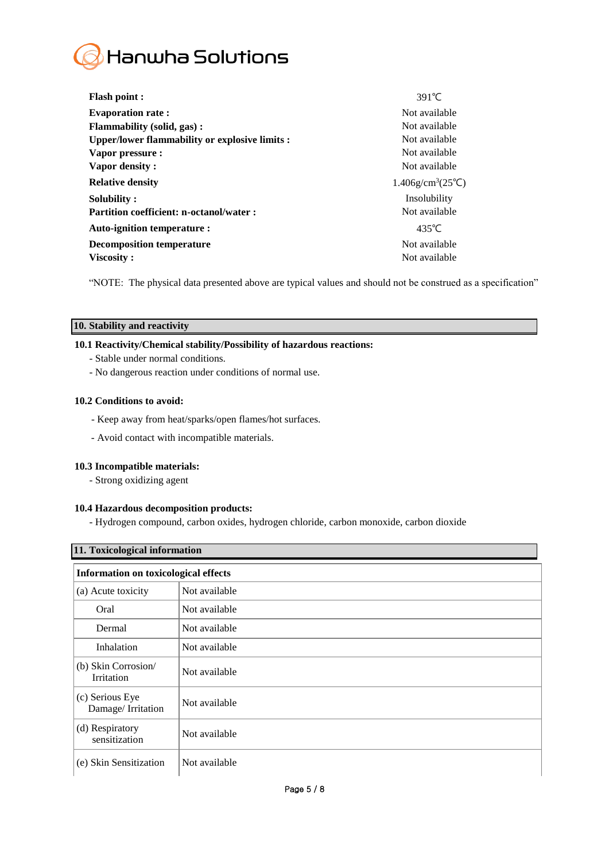

| <b>Flash point:</b>                            | $391^{\circ}$ C                           |
|------------------------------------------------|-------------------------------------------|
| <b>Evaporation rate:</b>                       | Not available                             |
| <b>Flammability (solid, gas):</b>              | Not available                             |
| Upper/lower flammability or explosive limits : | Not available                             |
| Vapor pressure :                               | Not available                             |
| Vapor density:                                 | Not available                             |
| <b>Relative density</b>                        | $1.406$ g/cm <sup>3</sup> $(25^{\circ}C)$ |
| Solubility:                                    | Insolubility                              |
| <b>Partition coefficient: n-octanol/water:</b> | Not available                             |
| Auto-ignition temperature :                    | $435^{\circ}$ C                           |
| <b>Decomposition temperature</b>               | Not available                             |
| Viscosity:                                     | Not available                             |

"NOTE: The physical data presented above are typical values and should not be construed as a specification"

## **10. Stability and reactivity**

## **10.1 Reactivity/Chemical stability/Possibility of hazardous reactions:**

- Stable under normal conditions.
- No dangerous reaction under conditions of normal use.

## **10.2 Conditions to avoid:**

- Keep away from heat/sparks/open flames/hot surfaces.
- Avoid contact with incompatible materials.

## **10.3 Incompatible materials:**

- Strong oxidizing agent

## **10.4 Hazardous decomposition products:**

- Hydrogen compound, carbon oxides, hydrogen chloride, carbon monoxide, carbon dioxide

| 11. Toxicological information               |               |  |
|---------------------------------------------|---------------|--|
| <b>Information on toxicological effects</b> |               |  |
| (a) Acute toxicity                          | Not available |  |
| Oral                                        | Not available |  |
| Dermal                                      | Not available |  |
| Inhalation                                  | Not available |  |
| (b) Skin Corrosion/<br>Irritation           | Not available |  |
| (c) Serious Eye<br>Damage/Irritation        | Not available |  |
| (d) Respiratory<br>sensitization            | Not available |  |
| (e) Skin Sensitization                      | Not available |  |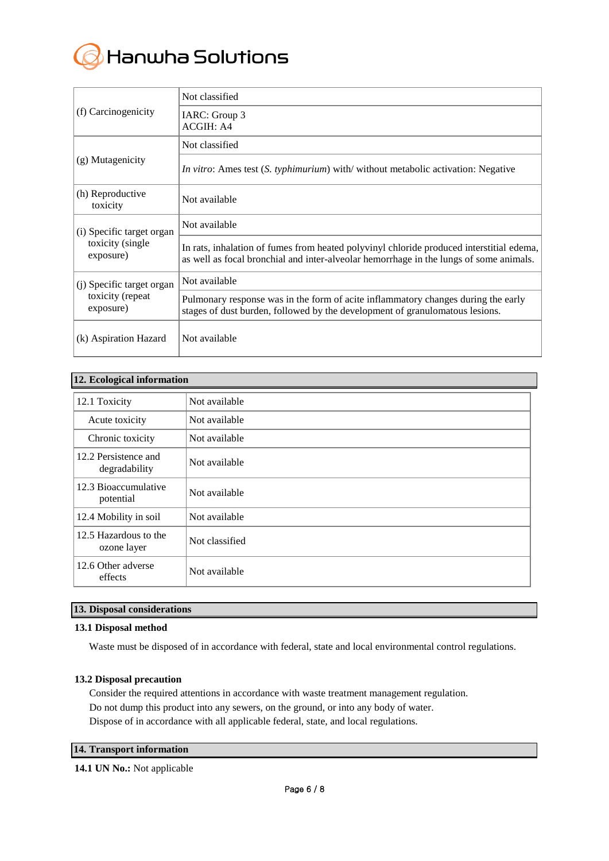# Hanwha Solutions

| (f) Carcinogenicity<br>(g) Mutagenicity | Not classified                                                                                                                                                                     |
|-----------------------------------------|------------------------------------------------------------------------------------------------------------------------------------------------------------------------------------|
|                                         | IARC: Group 3<br><b>ACGIH: A4</b>                                                                                                                                                  |
|                                         | Not classified                                                                                                                                                                     |
|                                         | <i>In vitro:</i> Ames test ( <i>S. typhimurium</i> ) with/ without metabolic activation: Negative                                                                                  |
| (h) Reproductive<br>toxicity            | Not available                                                                                                                                                                      |
| (i) Specific target organ               | Not available                                                                                                                                                                      |
| toxicity (single<br>exposure)           | In rats, inhalation of fumes from heated polyvinyl chloride produced interstitial edema,<br>as well as focal bronchial and inter-alveolar hemorrhage in the lungs of some animals. |
| (i) Specific target organ               | Not available                                                                                                                                                                      |
| toxicity (repeat<br>exposure)           | Pulmonary response was in the form of acite inflammatory changes during the early<br>stages of dust burden, followed by the development of granulomatous lesions.                  |
| (k) Aspiration Hazard                   | Not available                                                                                                                                                                      |

## **12. Ecological information**

| $\circ$                               |                |
|---------------------------------------|----------------|
| 12.1 Toxicity                         | Not available  |
| Acute toxicity                        | Not available  |
| Chronic toxicity                      | Not available  |
| 12.2 Persistence and<br>degradability | Not available  |
| 12.3 Bioaccumulative<br>potential     | Not available  |
| 12.4 Mobility in soil                 | Not available  |
| 12.5 Hazardous to the<br>ozone layer  | Not classified |
| 12.6 Other adverse<br>effects         | Not available  |

## **13. Disposal considerations**

## **13.1 Disposal method**

Waste must be disposed of in accordance with federal, state and local environmental control regulations.

## **13.2 Disposal precaution**

Consider the required attentions in accordance with waste treatment management regulation. Do not dump this product into any sewers, on the ground, or into any body of water. Dispose of in accordance with all applicable federal, state, and local regulations.

## **14. Transport information**

**14.1 UN No.:** Not applicable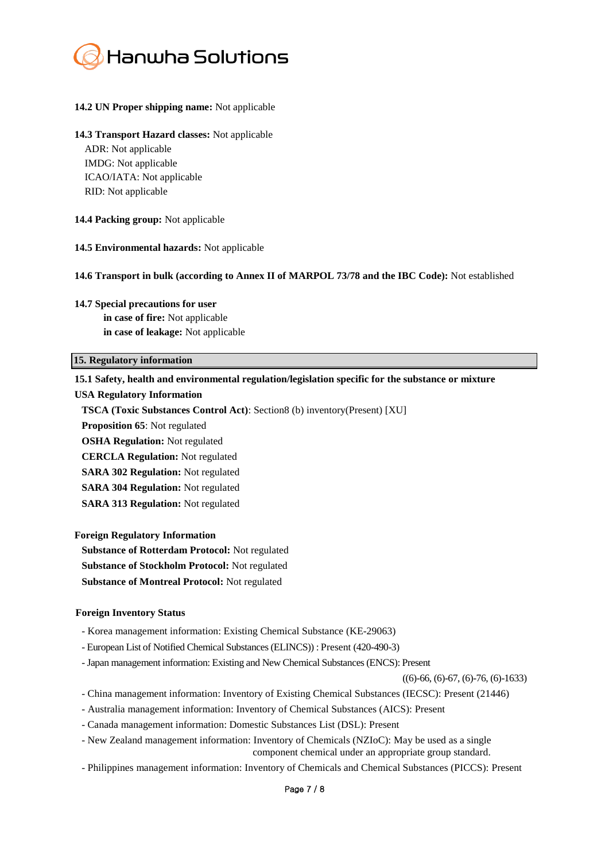

#### **14.2 UN Proper shipping name:** Not applicable

#### **14.3 Transport Hazard classes:** Not applicable

ADR: Not applicable IMDG: Not applicable ICAO/IATA: Not applicable RID: Not applicable

#### **14.4 Packing group:** Not applicable

#### **14.5 Environmental hazards:** Not applicable

#### **14.6 Transport in bulk (according to Annex II of MARPOL 73/78 and the IBC Code):** Not established

#### **14.7 Special precautions for user**

**in case of fire:** Not applicable **in case of leakage:** Not applicable

#### **15. Regulatory information**

#### **15.1 Safety, health and environmental regulation/legislation specific for the substance or mixture**

#### **USA Regulatory Information**

**TSCA (Toxic Substances Control Act)**: Section8 (b) inventory(Present) [XU]

**Proposition 65**: Not regulated

**OSHA Regulation:** Not regulated

**CERCLA Regulation:** Not regulated

**SARA 302 Regulation:** Not regulated

**SARA 304 Regulation:** Not regulated

**SARA 313 Regulation:** Not regulated

**Foreign Regulatory Information**

**Substance of Rotterdam Protocol:** Not regulated

**Substance of Stockholm Protocol:** Not regulated

**Substance of Montreal Protocol:** Not regulated

#### **Foreign Inventory Status**

- Korea management information: Existing Chemical Substance (KE-29063)
- European List of Notified Chemical Substances (ELINCS)) : Present (420-490-3)
- -Japan management information: Existing and New Chemical Substances (ENCS): Present

 $((6)$ -66,  $(6)$ -67,  $(6)$ -76,  $(6)$ -1633)

- China management information: Inventory of Existing Chemical Substances (IECSC): Present (21446)

- Australia management information: Inventory of Chemical Substances (AICS): Present

- Canada management information: Domestic Substances List (DSL): Present
- New Zealand management information: Inventory of Chemicals (NZIoC): May be used as a single component chemical under an appropriate group standard.
- Philippines management information: Inventory of Chemicals and Chemical Substances (PICCS): Present